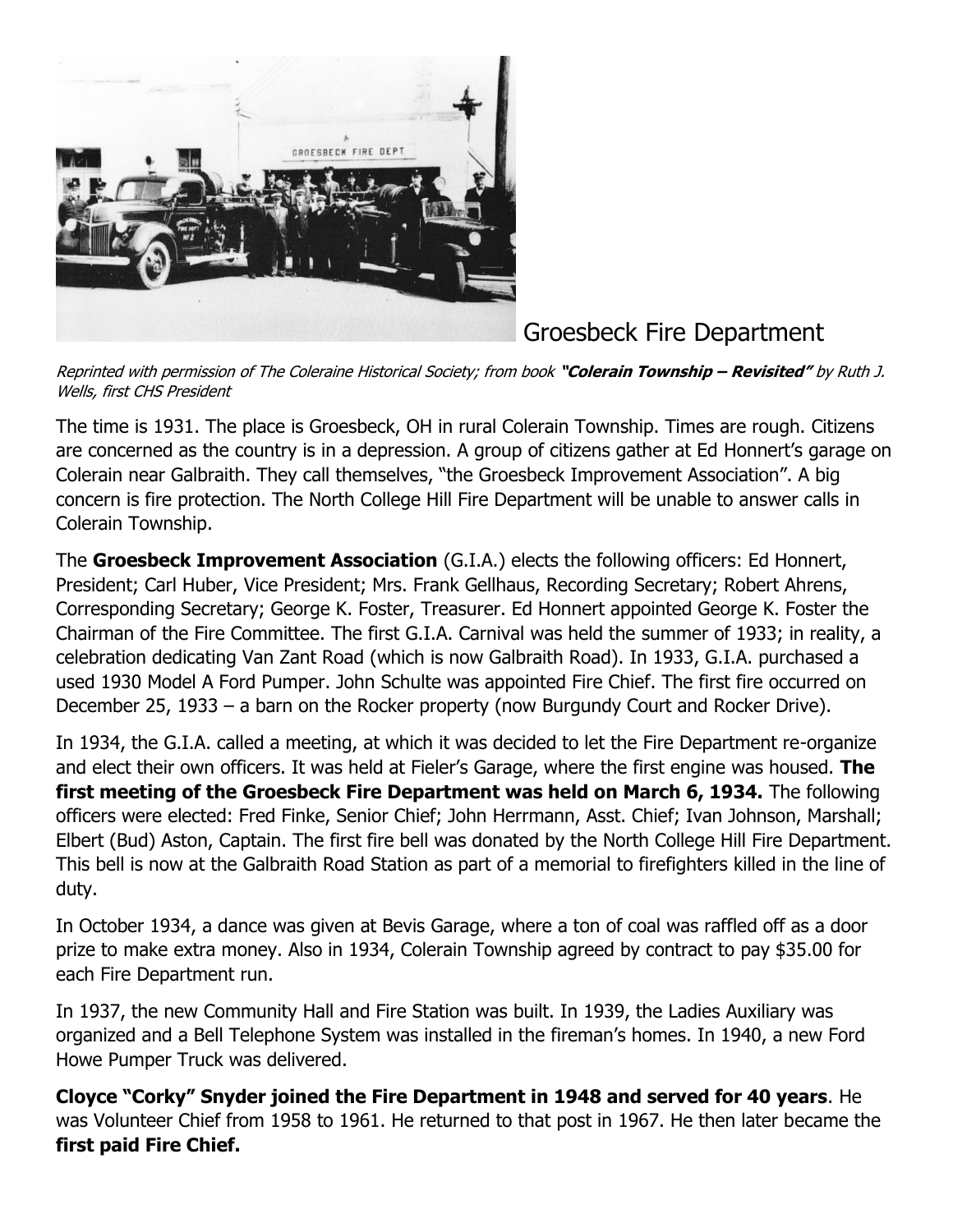

Groesbeck Fire Department

Reprinted with permission of The Coleraine Historical Society; from book **"Colerain Township – Revisited"** by Ruth J. Wells, first CHS President

The time is 1931. The place is Groesbeck, OH in rural Colerain Township. Times are rough. Citizens are concerned as the country is in a depression. A group of citizens gather at Ed Honnert's garage on Colerain near Galbraith. They call themselves, "the Groesbeck Improvement Association". A big concern is fire protection. The North College Hill Fire Department will be unable to answer calls in Colerain Township.

The **Groesbeck Improvement Association** (G.I.A.) elects the following officers: Ed Honnert, President; Carl Huber, Vice President; Mrs. Frank Gellhaus, Recording Secretary; Robert Ahrens, Corresponding Secretary; George K. Foster, Treasurer. Ed Honnert appointed George K. Foster the Chairman of the Fire Committee. The first G.I.A. Carnival was held the summer of 1933; in reality, a celebration dedicating Van Zant Road (which is now Galbraith Road). In 1933, G.I.A. purchased a used 1930 Model A Ford Pumper. John Schulte was appointed Fire Chief. The first fire occurred on December 25, 1933 – a barn on the Rocker property (now Burgundy Court and Rocker Drive).

In 1934, the G.I.A. called a meeting, at which it was decided to let the Fire Department re-organize and elect their own officers. It was held at Fieler's Garage, where the first engine was housed. **The first meeting of the Groesbeck Fire Department was held on March 6, 1934.** The following officers were elected: Fred Finke, Senior Chief; John Herrmann, Asst. Chief; Ivan Johnson, Marshall; Elbert (Bud) Aston, Captain. The first fire bell was donated by the North College Hill Fire Department. This bell is now at the Galbraith Road Station as part of a memorial to firefighters killed in the line of duty.

In October 1934, a dance was given at Bevis Garage, where a ton of coal was raffled off as a door prize to make extra money. Also in 1934, Colerain Township agreed by contract to pay \$35.00 for each Fire Department run.

In 1937, the new Community Hall and Fire Station was built. In 1939, the Ladies Auxiliary was organized and a Bell Telephone System was installed in the fireman's homes. In 1940, a new Ford Howe Pumper Truck was delivered.

**Cloyce "Corky" Snyder joined the Fire Department in 1948 and served for 40 years**. He was Volunteer Chief from 1958 to 1961. He returned to that post in 1967. He then later became the **first paid Fire Chief.**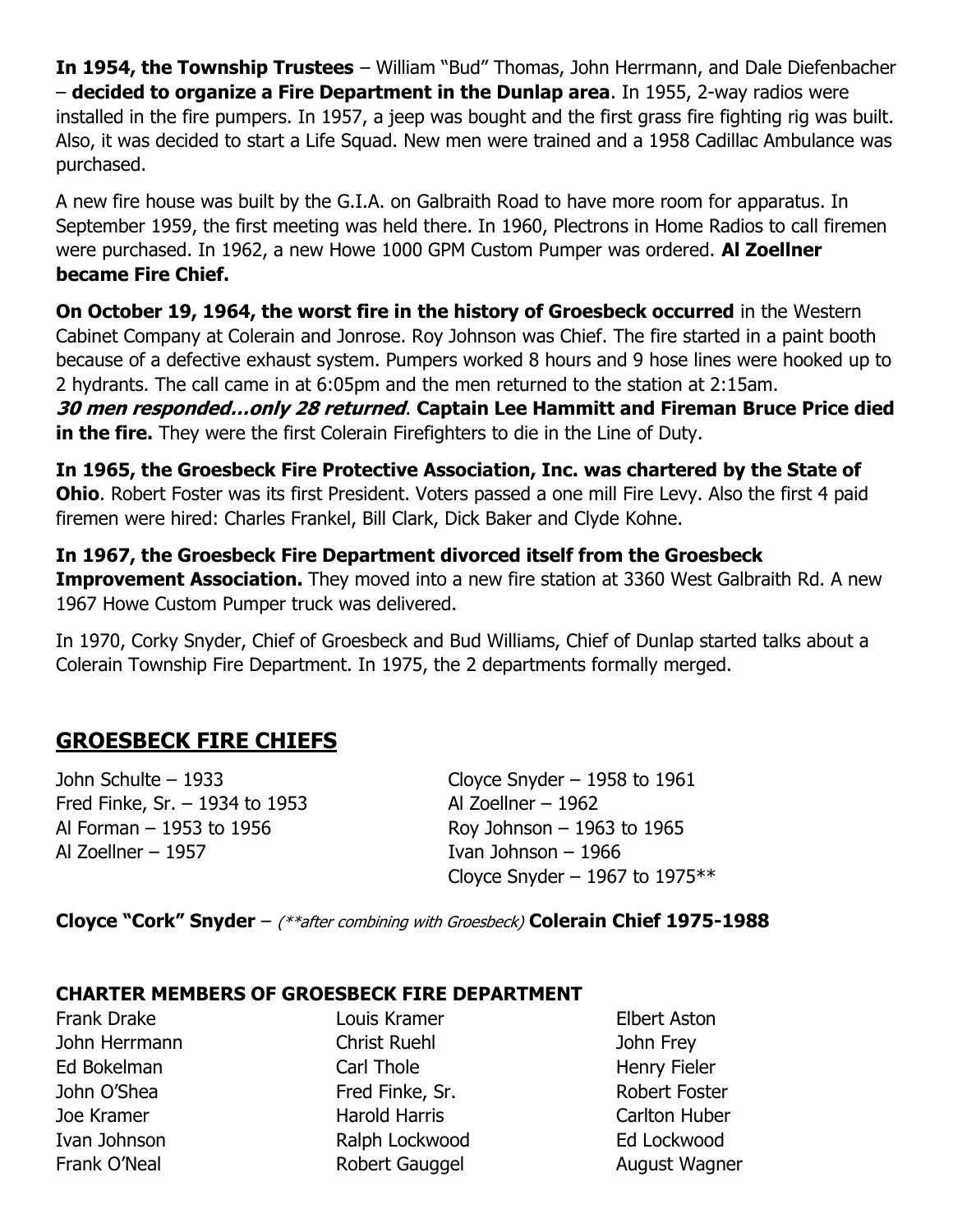**In 1954, the Township Trustees** – William "Bud" Thomas, John Herrmann, and Dale Diefenbacher – **decided to organize a Fire Department in the Dunlap area**. In 1955, 2-way radios were installed in the fire pumpers. In 1957, a jeep was bought and the first grass fire fighting rig was built. Also, it was decided to start a Life Squad. New men were trained and a 1958 Cadillac Ambulance was purchased.

A new fire house was built by the G.I.A. on Galbraith Road to have more room for apparatus. In September 1959, the first meeting was held there. In 1960, Plectrons in Home Radios to call firemen were purchased. In 1962, a new Howe 1000 GPM Custom Pumper was ordered. **Al Zoellner became Fire Chief.** 

**On October 19, 1964, the worst fire in the history of Groesbeck occurred** in the Western Cabinet Company at Colerain and Jonrose. Roy Johnson was Chief. The fire started in a paint booth because of a defective exhaust system. Pumpers worked 8 hours and 9 hose lines were hooked up to 2 hydrants. The call came in at 6:05pm and the men returned to the station at 2:15am.

**30 men responded…only 28 returned**. **Captain Lee Hammitt and Fireman Bruce Price died in the fire.** They were the first Colerain Firefighters to die in the Line of Duty.

**In 1965, the Groesbeck Fire Protective Association, Inc. was chartered by the State of Ohio**. Robert Foster was its first President. Voters passed a one mill Fire Levy. Also the first 4 paid firemen were hired: Charles Frankel, Bill Clark, Dick Baker and Clyde Kohne.

**In 1967, the Groesbeck Fire Department divorced itself from the Groesbeck Improvement Association.** They moved into a new fire station at 3360 West Galbraith Rd. A new 1967 Howe Custom Pumper truck was delivered.

In 1970, Corky Snyder, Chief of Groesbeck and Bud Williams, Chief of Dunlap started talks about a Colerain Township Fire Department. In 1975, the 2 departments formally merged.

## **GROESBECK FIRE CHIEFS**

Fred Finke, Sr.  $-$  1934 to 1953 Al Zoellner  $-$  1962 Al Forman – 1953 to 1956 Roy Johnson – 1963 to 1965 Al Zoellner – 1957 Ivan Johnson – 1966

John Schulte – 1933 Cloyce Snyder – 1958 to 1961 Cloyce Snyder – 1967 to 1975 $**$ 

**Cloyce "Cork" Snyder** – (\*\*after combining with Groesbeck) **Colerain Chief 1975-1988**

## **CHARTER MEMBERS OF GROESBECK FIRE DEPARTMENT**

Frank Drake Louis Kramer Elbert Aston

John Herrmann Christ Ruehl John Frey Ed Bokelman Carl Thole **Ed Bokelman** Carl Thole John O'Shea **Fred Finke, Sr.** Robert Foster Joe Kramer Harold Harris Carlton Huber Ivan Johnson Ralph Lockwood Ed Lockwood

Frank O'Neal **Robert Gauggel** August Wagner